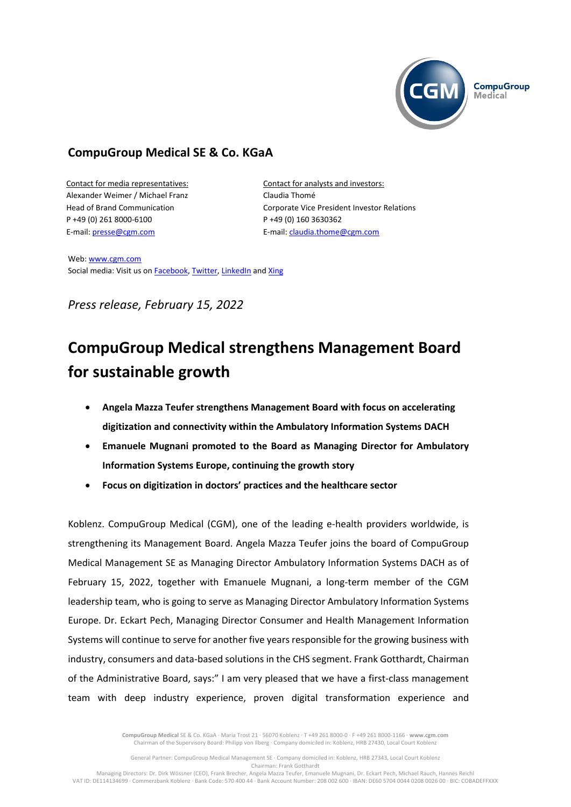

# **CompuGroup Medical SE & Co. KGaA**

Contact for media representatives: Alexander Weimer / Michael Franz Head of Brand Communication P +49 (0) 261 8000-6100 E-mail[: presse@cgm.com](mailto:presse@cgm.com)

Contact for analysts and investors: Claudia Thomé Corporate Vice President Investor Relations P +49 (0) 160 3630362 E-mail[: claudia.thome@cgm.com](mailto:claudia.thome@cgm.com)

Web[: www.cgm.com](http://www.cgm.comwww/) Social media: Visit us on [Facebook,](https://www.facebook.com/CompuGroup-Medical-SE-Co-KGaA-112275907098431) [Twitter,](https://twitter.com/CGMeHealth) [LinkedIn](https://www.linkedin.com/company/compugroup-medical-ag/) and [Xing](https://www.xing.com/pages/compugroupmedicalag)

*Press release, February 15, 2022*

# **CompuGroup Medical strengthens Management Board for sustainable growth**

- **Angela Mazza Teufer strengthens Management Board with focus on accelerating digitization and connectivity within the Ambulatory Information Systems DACH**
- **Emanuele Mugnani promoted to the Board as Managing Director for Ambulatory Information Systems Europe, continuing the growth story**
- **Focus on digitization in doctors' practices and the healthcare sector**

Koblenz. CompuGroup Medical (CGM), one of the leading e-health providers worldwide, is strengthening its Management Board. Angela Mazza Teufer joins the board of CompuGroup Medical Management SE as Managing Director Ambulatory Information Systems DACH as of February 15, 2022, together with Emanuele Mugnani, a long-term member of the CGM leadership team, who is going to serve as Managing Director Ambulatory Information Systems Europe. Dr. Eckart Pech, Managing Director Consumer and Health Management Information Systems will continue to serve for another five years responsible for the growing business with industry, consumers and data-based solutions in the CHS segment. Frank Gotthardt, Chairman of the Administrative Board, says:" I am very pleased that we have a first-class management team with deep industry experience, proven digital transformation experience and

> **CompuGroup Medical** SE & Co. KGaA · Maria Trost 21 · 56070 Koblenz · T +49 261 8000-0 · F +49 261 8000-1166 · **www.cgm.com** Chairman of the Supervisory Board: Philipp von Ilberg · Company domiciled in: Koblenz, HRB 27430, Local Court Koblenz

General Partner: CompuGroup Medical Management SE · Company domiciled in: Koblenz, HRB 27343, Local Court Koblenz Chairman: Frank Gotthardt

Managing Directors: Dr. Dirk Wössner (CEO), Frank Brecher, Angela Mazza Teufer, Emanuele Mugnani, Dr. Eckart Pech, Michael Rauch, Hannes Reichl VAT ID: DE114134699 · Commerzbank Koblenz · Bank Code: 570 400 44 · Bank Account Number: 208 002 600 · IBAN: DE60 5704 0044 0208 0026 00 · BIC: COBADEFFXXX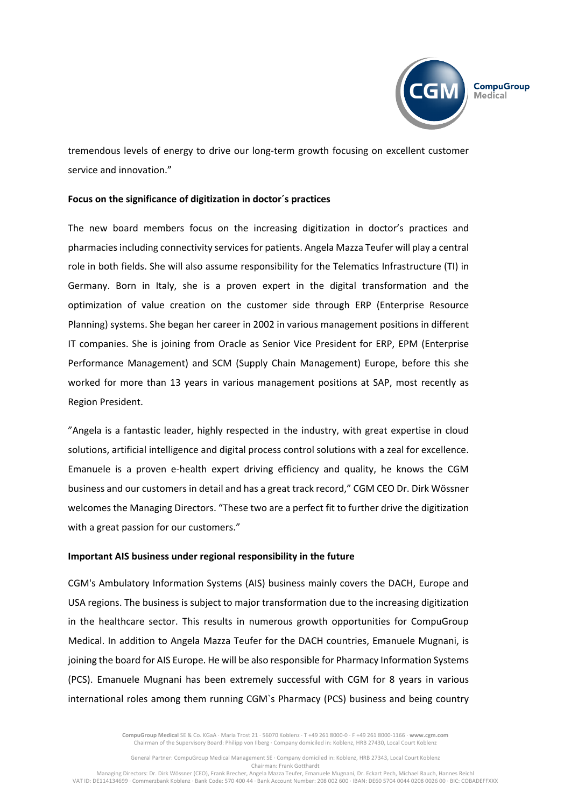

tremendous levels of energy to drive our long-term growth focusing on excellent customer service and innovation."

## **Focus on the significance of digitization in doctor´s practices**

The new board members focus on the increasing digitization in doctor's practices and pharmaciesincluding connectivity services for patients. Angela Mazza Teufer will play a central role in both fields. She will also assume responsibility for the Telematics Infrastructure (TI) in Germany. Born in Italy, she is a proven expert in the digital transformation and the optimization of value creation on the customer side through ERP (Enterprise Resource Planning) systems. She began her career in 2002 in various management positions in different IT companies. She is joining from Oracle as Senior Vice President for ERP, EPM (Enterprise Performance Management) and SCM (Supply Chain Management) Europe, before this she worked for more than 13 years in various management positions at SAP, most recently as Region President.

"Angela is a fantastic leader, highly respected in the industry, with great expertise in cloud solutions, artificial intelligence and digital process control solutions with a zeal for excellence. Emanuele is a proven e-health expert driving efficiency and quality, he knows the CGM business and our customers in detail and has a great track record," CGM CEO Dr. Dirk Wössner welcomes the Managing Directors. "These two are a perfect fit to further drive the digitization with a great passion for our customers."

#### **Important AIS business under regional responsibility in the future**

CGM's Ambulatory Information Systems (AIS) business mainly covers the DACH, Europe and USA regions. The business is subject to major transformation due to the increasing digitization in the healthcare sector. This results in numerous growth opportunities for CompuGroup Medical. In addition to Angela Mazza Teufer for the DACH countries, Emanuele Mugnani, is joining the board for AIS Europe. He will be also responsible for Pharmacy Information Systems (PCS). Emanuele Mugnani has been extremely successful with CGM for 8 years in various international roles among them running CGM`s Pharmacy (PCS) business and being country

> **CompuGroup Medical** SE & Co. KGaA · Maria Trost 21 · 56070 Koblenz · T +49 261 8000-0 · F +49 261 8000-1166 · **www.cgm.com** Chairman of the Supervisory Board: Philipp von Ilberg · Company domiciled in: Koblenz, HRB 27430, Local Court Koblenz

General Partner: CompuGroup Medical Management SE · Company domiciled in: Koblenz, HRB 27343, Local Court Koblenz Chairman: Frank Gotthardt

Managing Directors: Dr. Dirk Wössner (CEO), Frank Brecher, Angela Mazza Teufer, Emanuele Mugnani, Dr. Eckart Pech, Michael Rauch, Hannes Reichl VAT ID: DE114134699 · Commerzbank Koblenz · Bank Code: 570 400 44 · Bank Account Number: 208 002 600 · IBAN: DE60 5704 0044 0208 0026 00 · BIC: COBADEFFXXX